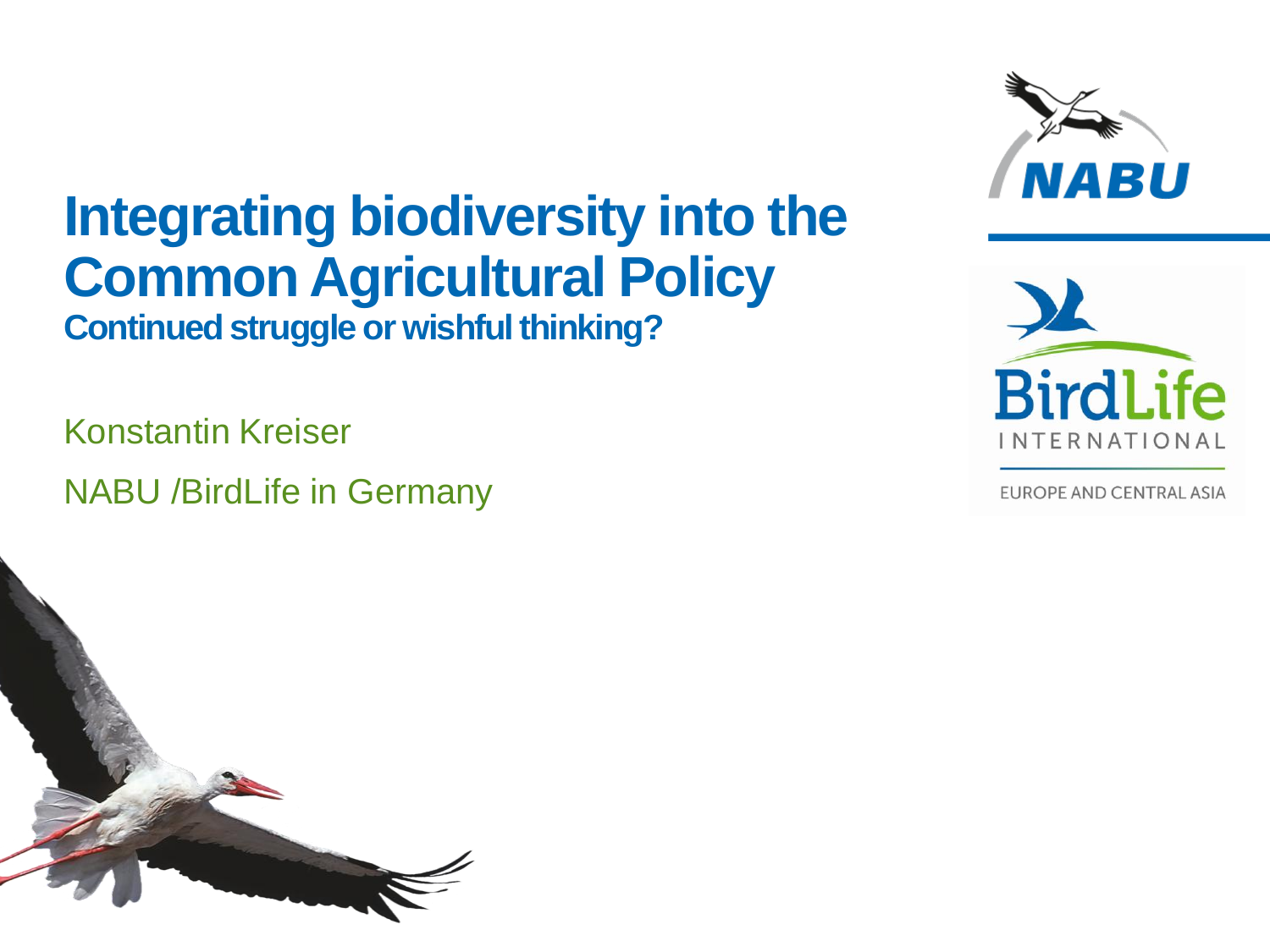## **Integrating biodiversity into the Common Agricultural Policy Continued struggle or wishful thinking?**

Konstantin Kreiser NABU /BirdLife in Germany





**EUROPE AND CENTRAL ASIA**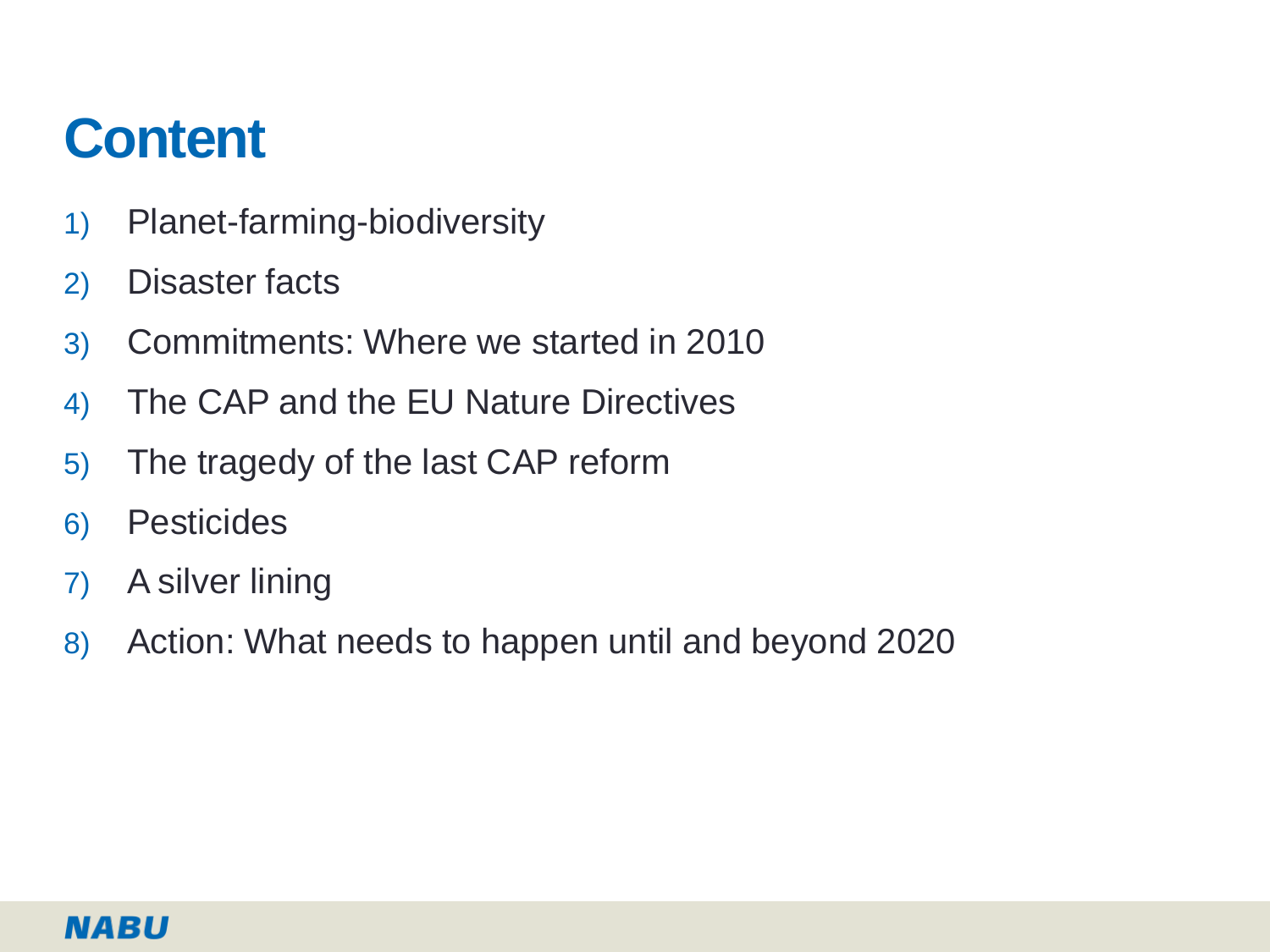## **Content**

- 1) Planet-farming-biodiversity
- 2) Disaster facts
- 3) Commitments: Where we started in 2010
- 4) The CAP and the EU Nature Directives
- 5) The tragedy of the last CAP reform
- 6) Pesticides
- 7) A silver lining
- 8) Action: What needs to happen until and beyond 2020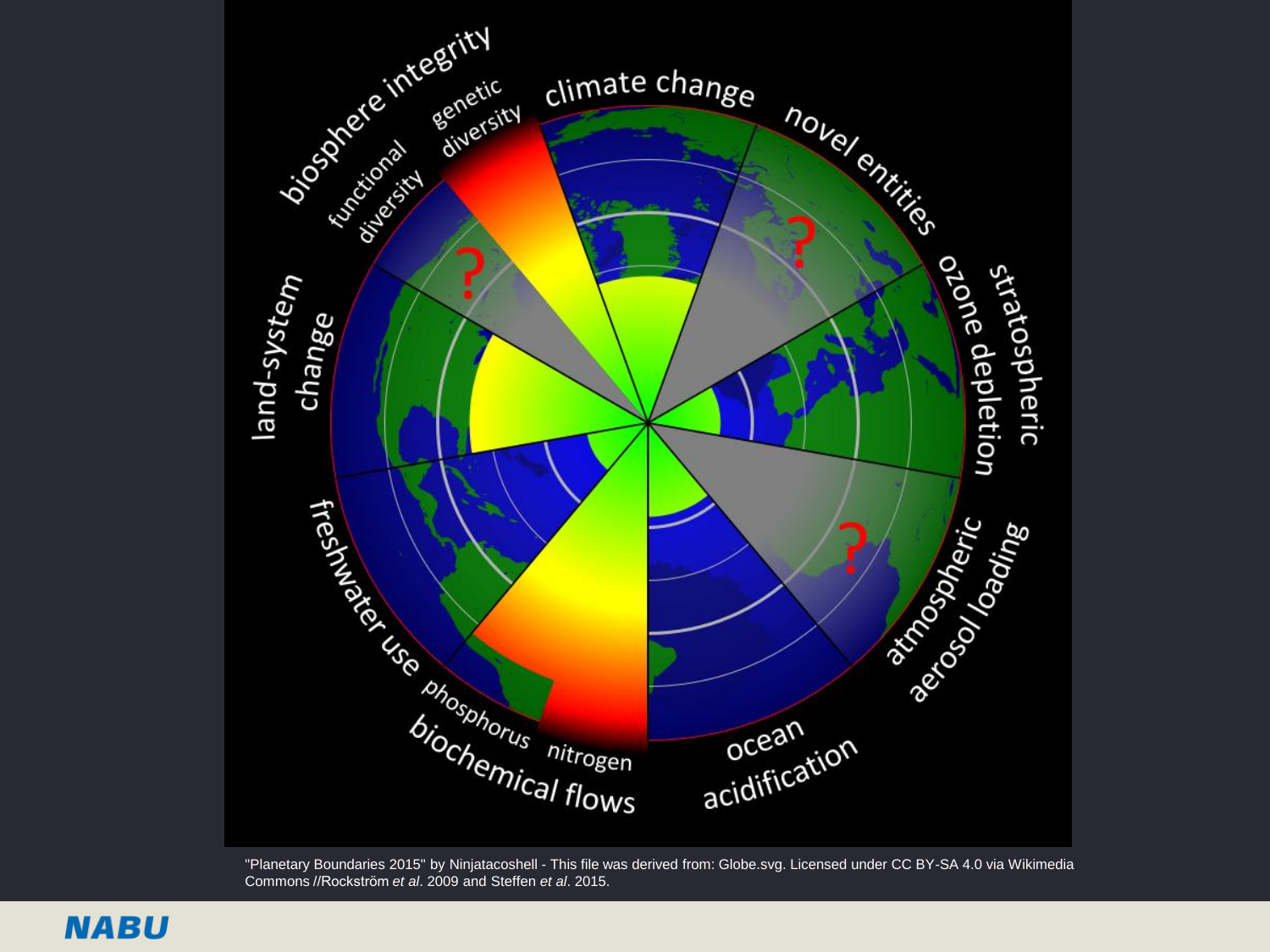

"Planetary Boundaries 2015" by Ninjatacoshell - This file was derived from: Globe.svg. Licensed under CC BY-SA 4.0 via Wikimedia Commons //Rockström *et al*. 2009 and Steffen *et al*. 2015.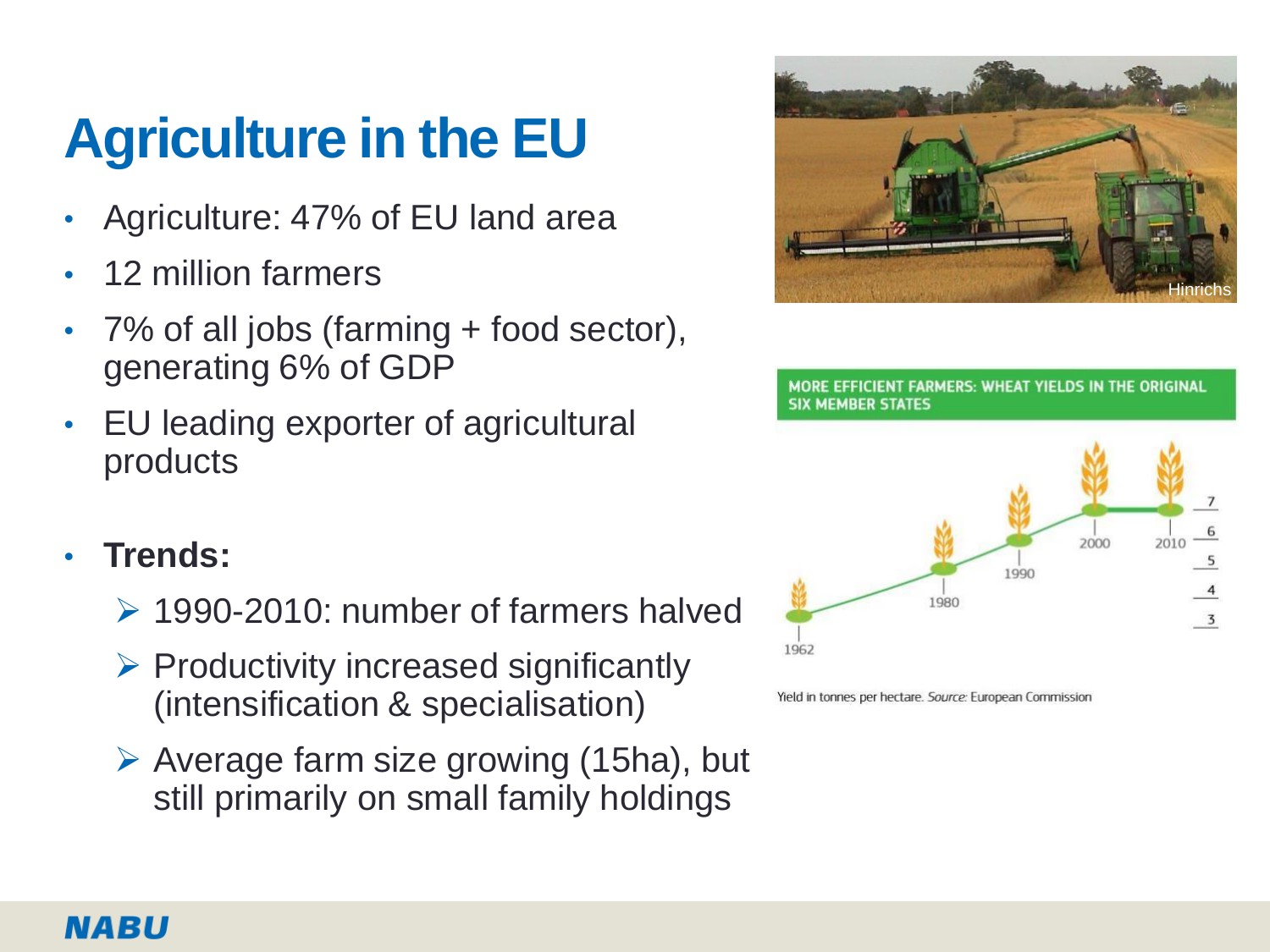# **Agriculture in the EU**

- Agriculture: 47% of EU land area
- 12 million farmers
- 7% of all jobs (farming + food sector), generating 6% of GDP
- EU leading exporter of agricultural products
- **Trends:** 
	- 1990-2010: number of farmers halved
	- $\triangleright$  Productivity increased significantly (intensification & specialisation)
	- $\triangleright$  Average farm size growing (15ha), but still primarily on small family holdings



**FARMERS: WHEAT YIELDS IN THE ORIGINAL SIX MEMBER STATES** 



Yield in tonnes per hectare. Source: European Commission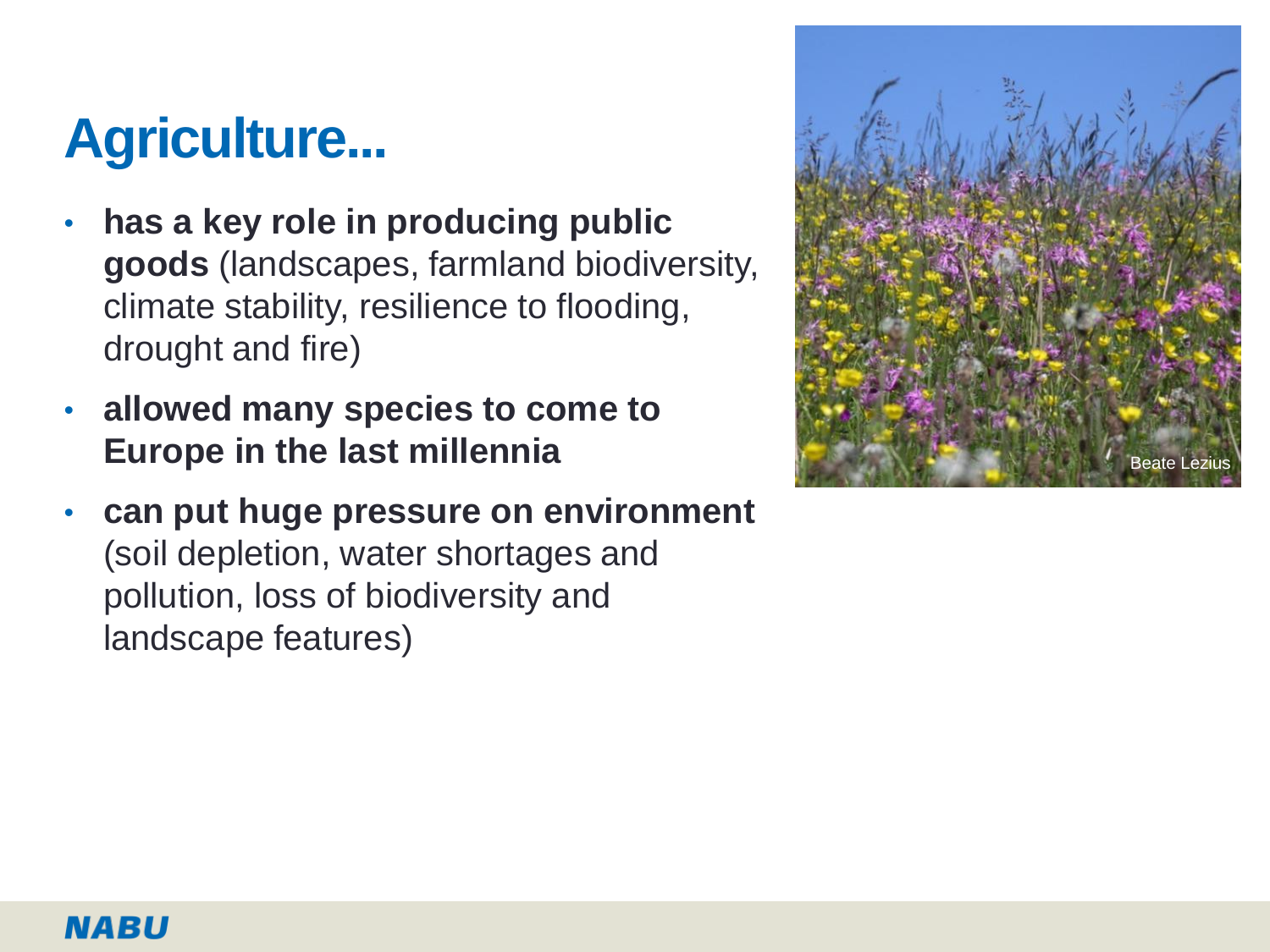# **Agriculture...**

- **has a key role in producing public goods** (landscapes, farmland biodiversity, climate stability, resilience to flooding, drought and fire)
- **allowed many species to come to Europe in the last millennia**
- **can put huge pressure on environment**  (soil depletion, water shortages and pollution, loss of biodiversity and landscape features)

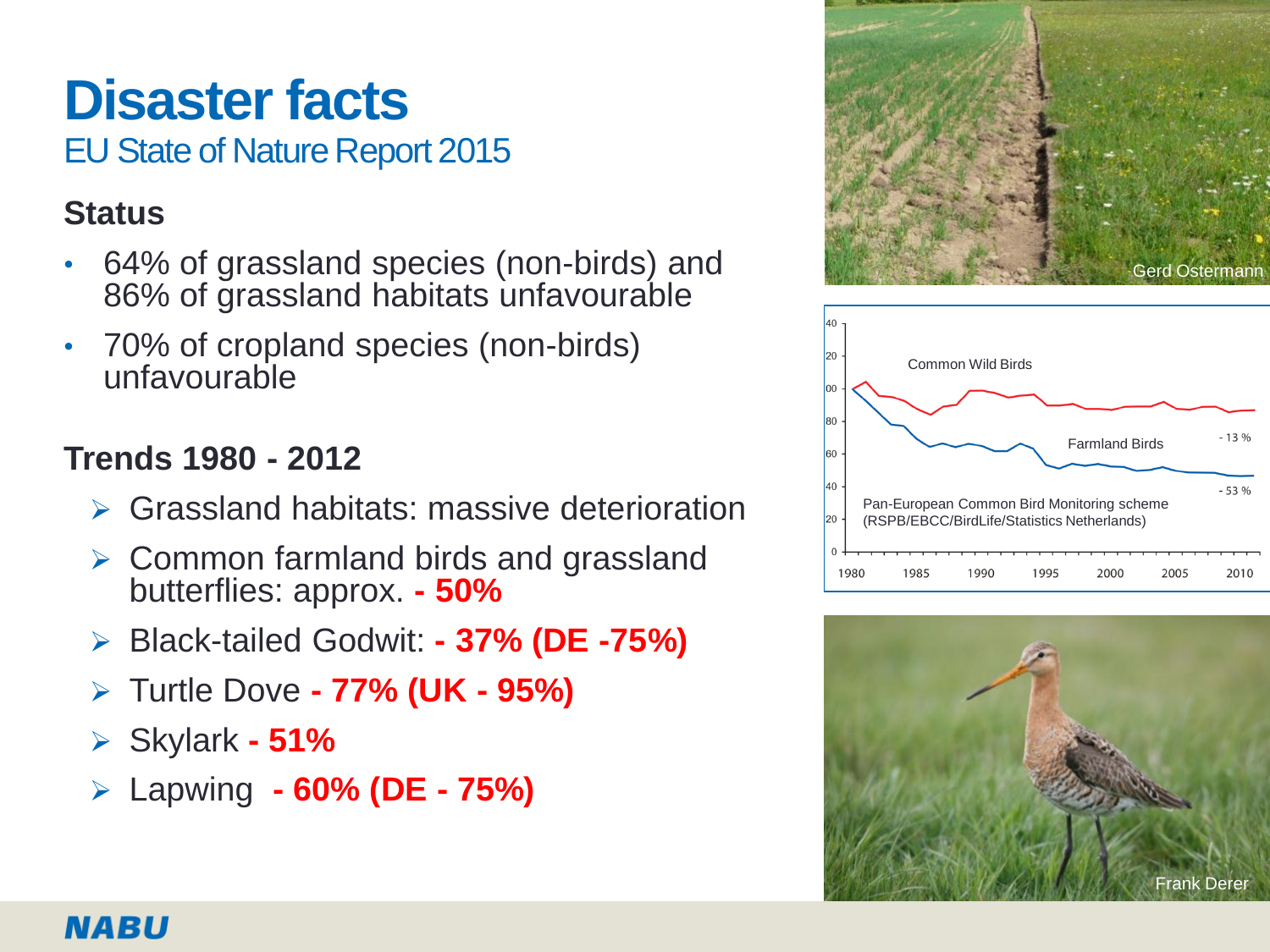# **Disaster facts**

EU State of Nature Report 2015

### **Status**

- 64% of grassland species (non-birds) and 86% of grassland habitats unfavourable
- 70% of cropland species (non-birds) unfavourable

### **Trends 1980 - 2012**

- Grassland habitats: massive deterioration
- Common farmland birds and grassland butterflies: approx. **- 50%**
- Black-tailed Godwit: **- 37% (DE -75%)**
- Turtle Dove **- 77% (UK - 95%)**
- Skylark **- 51%**
- Lapwing **- 60% (DE - 75%)**





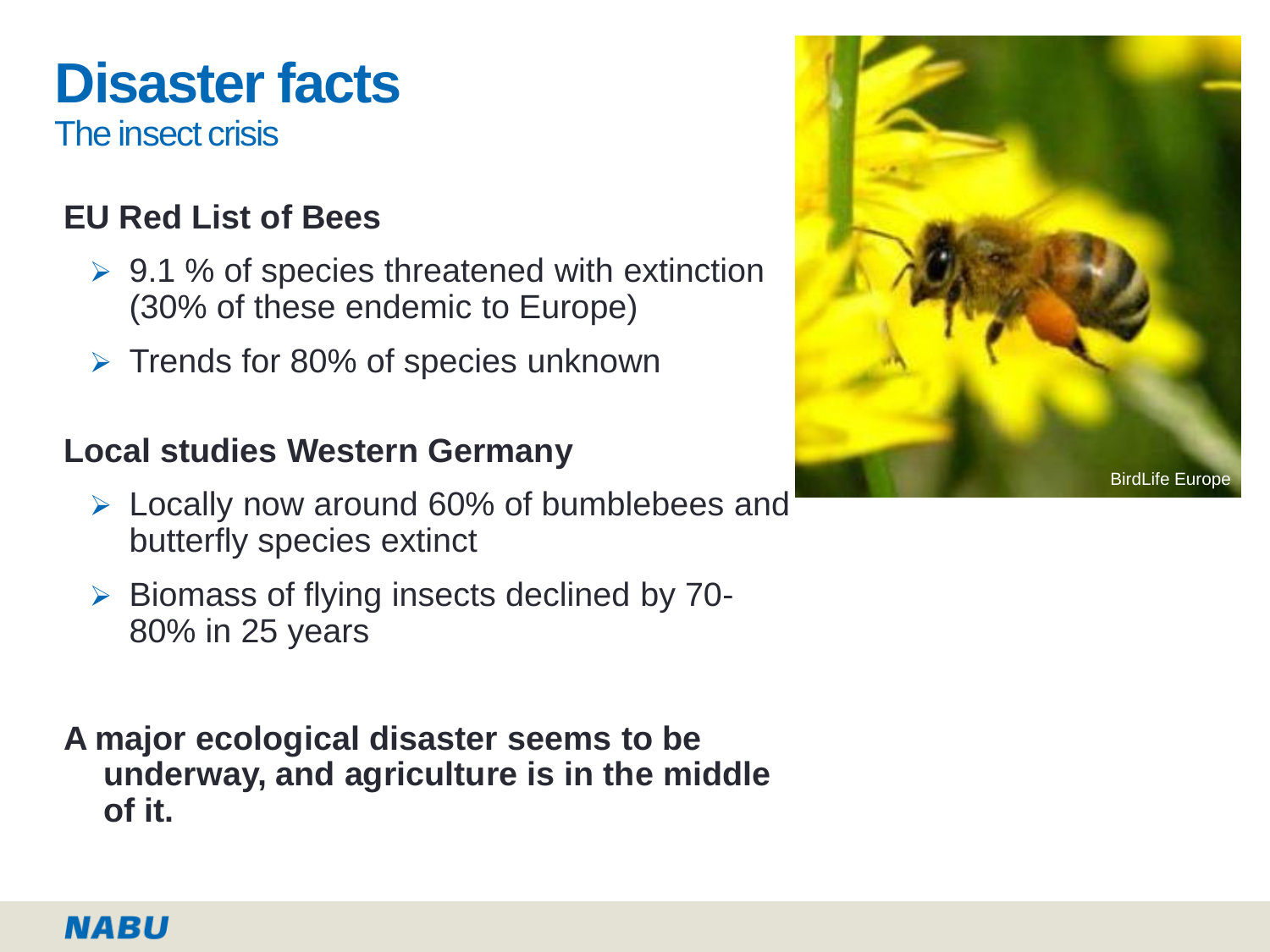# **Disaster facts**

The insect crisis

### **EU Red List of Bees**

- $\geq 9.1$  % of species threatened with extinction (30% of these endemic to Europe)
- $\triangleright$  Trends for 80% of species unknown

### **Local studies Western Germany**

- Locally now around 60% of bumblebees and butterfly species extinct
- $\triangleright$  Biomass of flying insects declined by 70-80% in 25 years
- **A major ecological disaster seems to be underway, and agriculture is in the middle of it.**

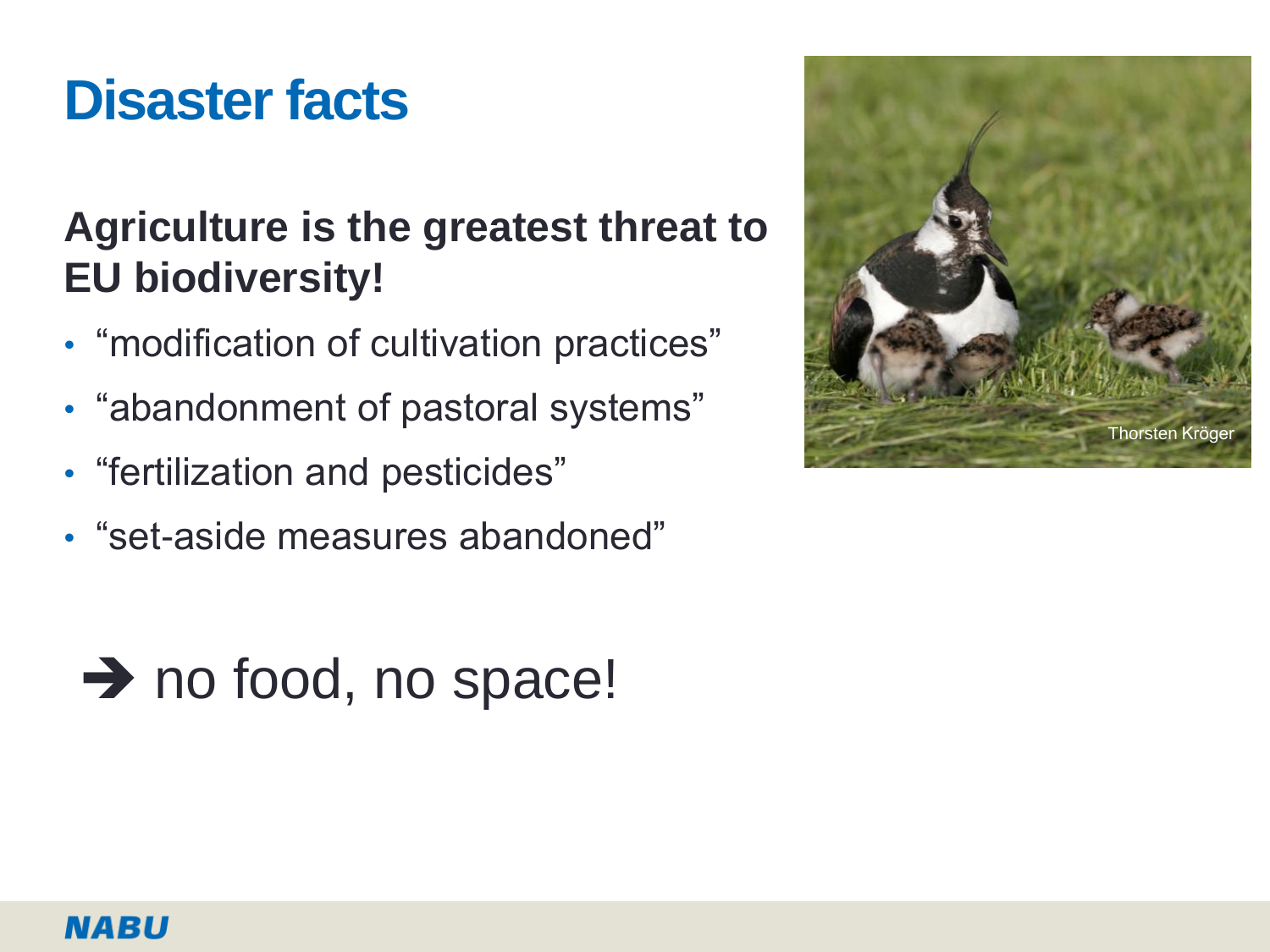## **Disaster facts**

## **Agriculture is the greatest threat to EU biodiversity!**

- "modification of cultivation practices"
- "abandonment of pastoral systems"
- "fertilization and pesticides"
- "set-aside measures abandoned"



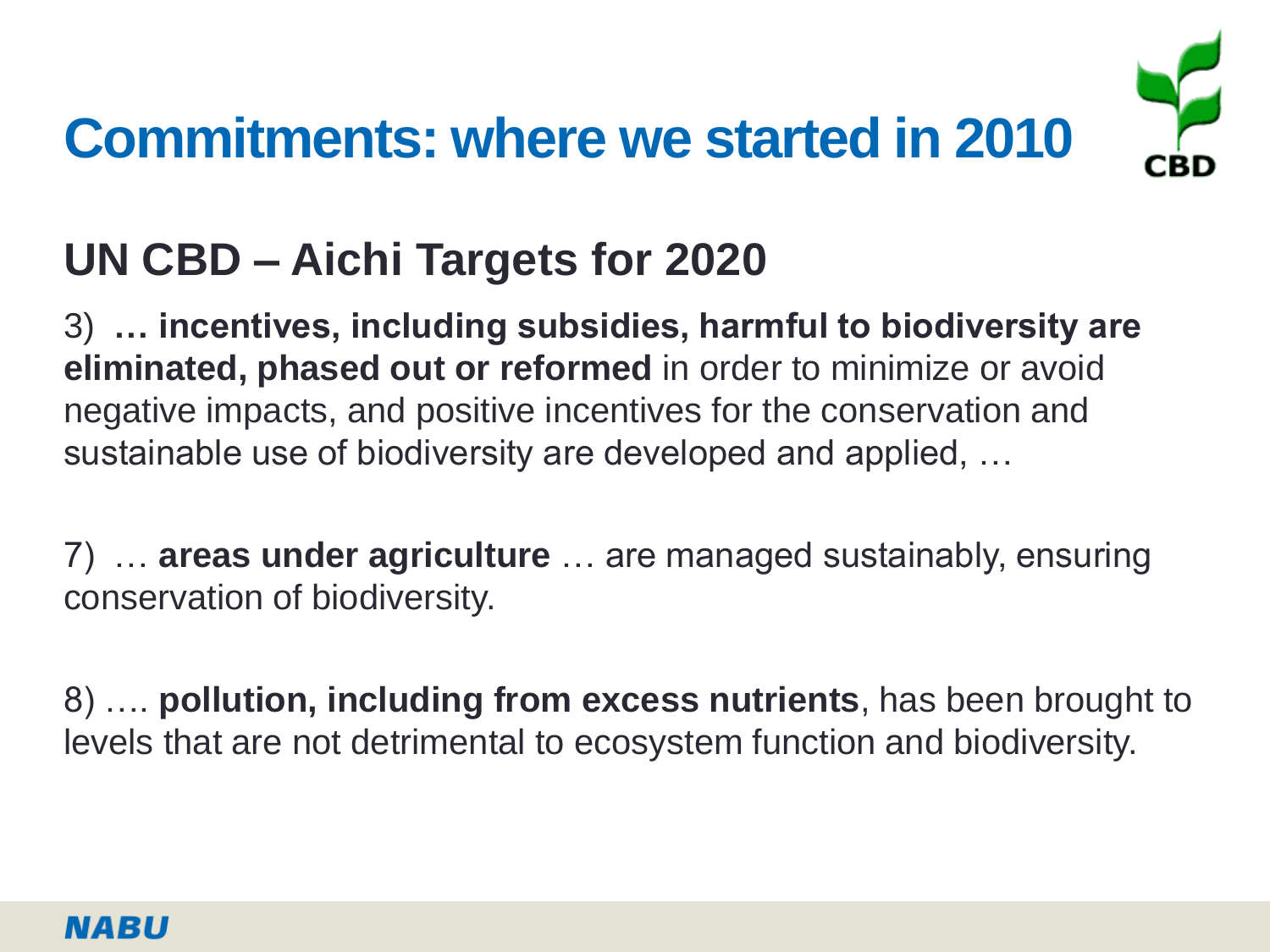# **Commitments: where we started in 2010**



## **UN CBD – Aichi Targets for 2020**

3) **… incentives, including subsidies, harmful to biodiversity are eliminated, phased out or reformed** in order to minimize or avoid negative impacts, and positive incentives for the conservation and sustainable use of biodiversity are developed and applied, …

7) … **areas under agriculture** … are managed sustainably, ensuring conservation of biodiversity.

8) …. **pollution, including from excess nutrients**, has been brought to levels that are not detrimental to ecosystem function and biodiversity.

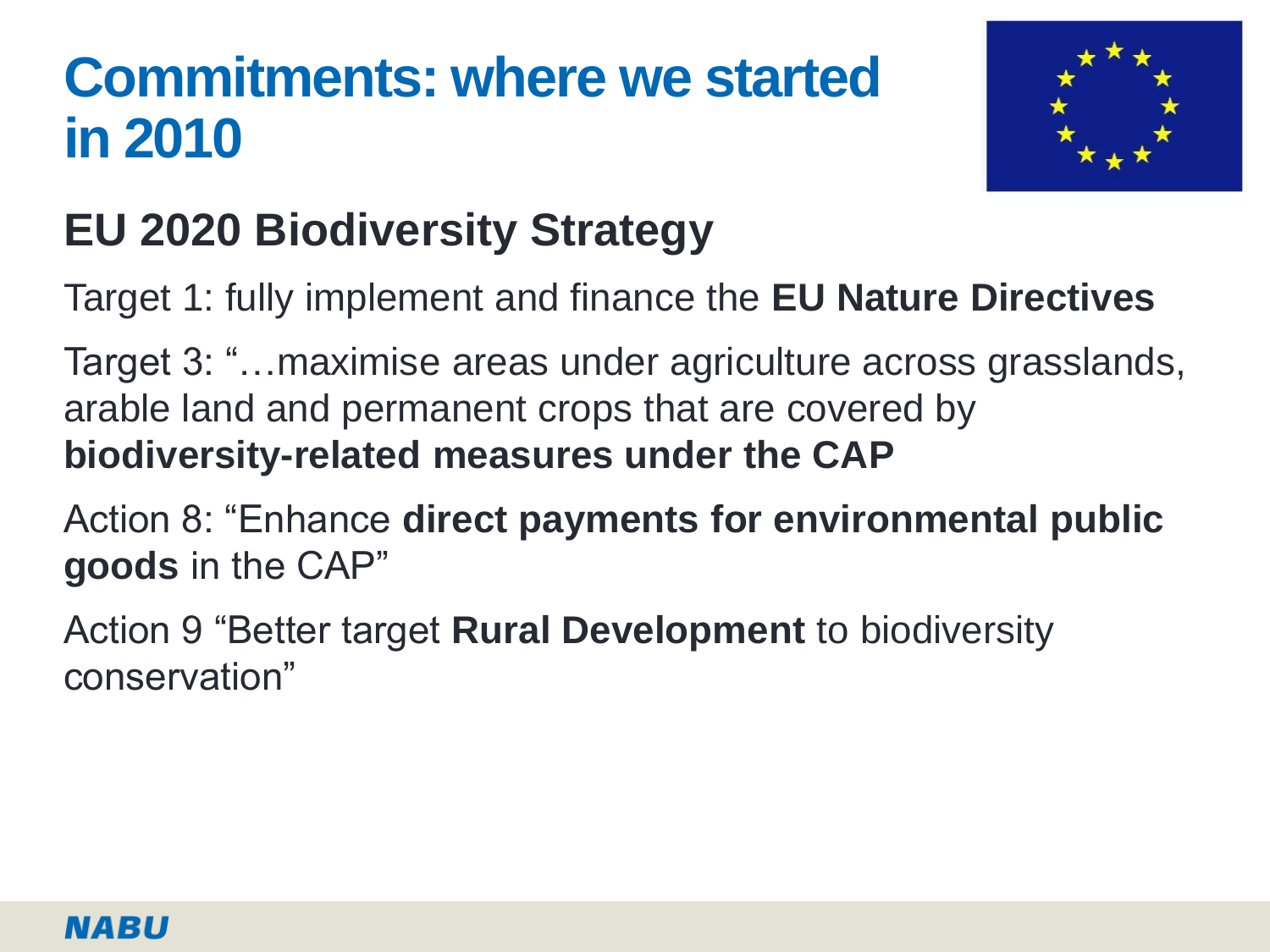## **Commitments: where we started in 2010**



## **EU 2020 Biodiversity Strategy**

Target 1: fully implement and finance the **EU Nature Directives**

Target 3: "…maximise areas under agriculture across grasslands, arable land and permanent crops that are covered by **biodiversity-related measures under the CAP**

Action 8: "Enhance **direct payments for environmental public goods** in the CAP"

Action 9 "Better target **Rural Development** to biodiversity conservation"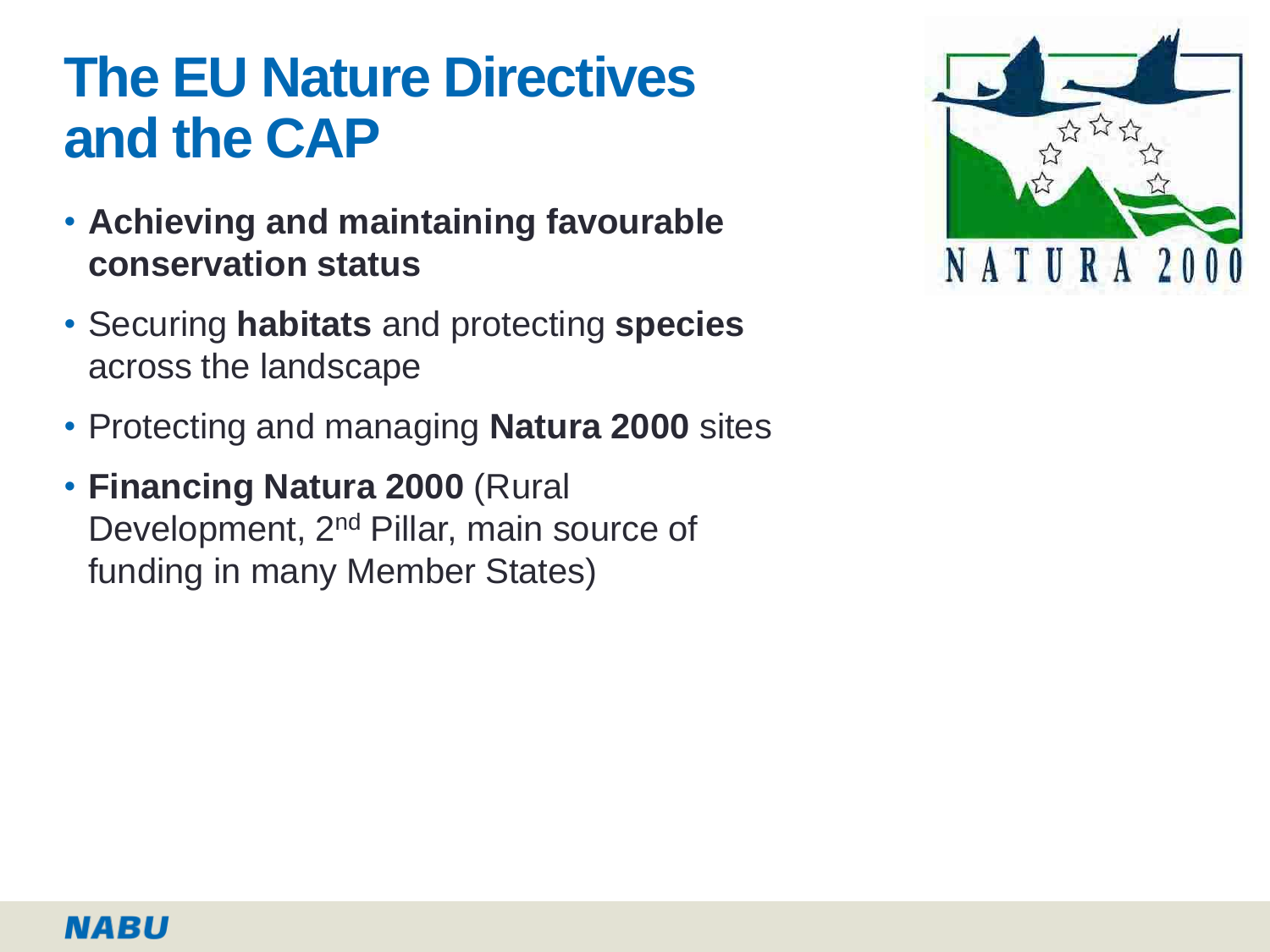## **The EU Nature Directives and the CAP**

- **Achieving and maintaining favourable conservation status**
- Securing **habitats** and protecting **species** across the landscape
- Protecting and managing **Natura 2000** sites
- **Financing Natura 2000** (Rural Development, 2<sup>nd</sup> Pillar, main source of funding in many Member States)

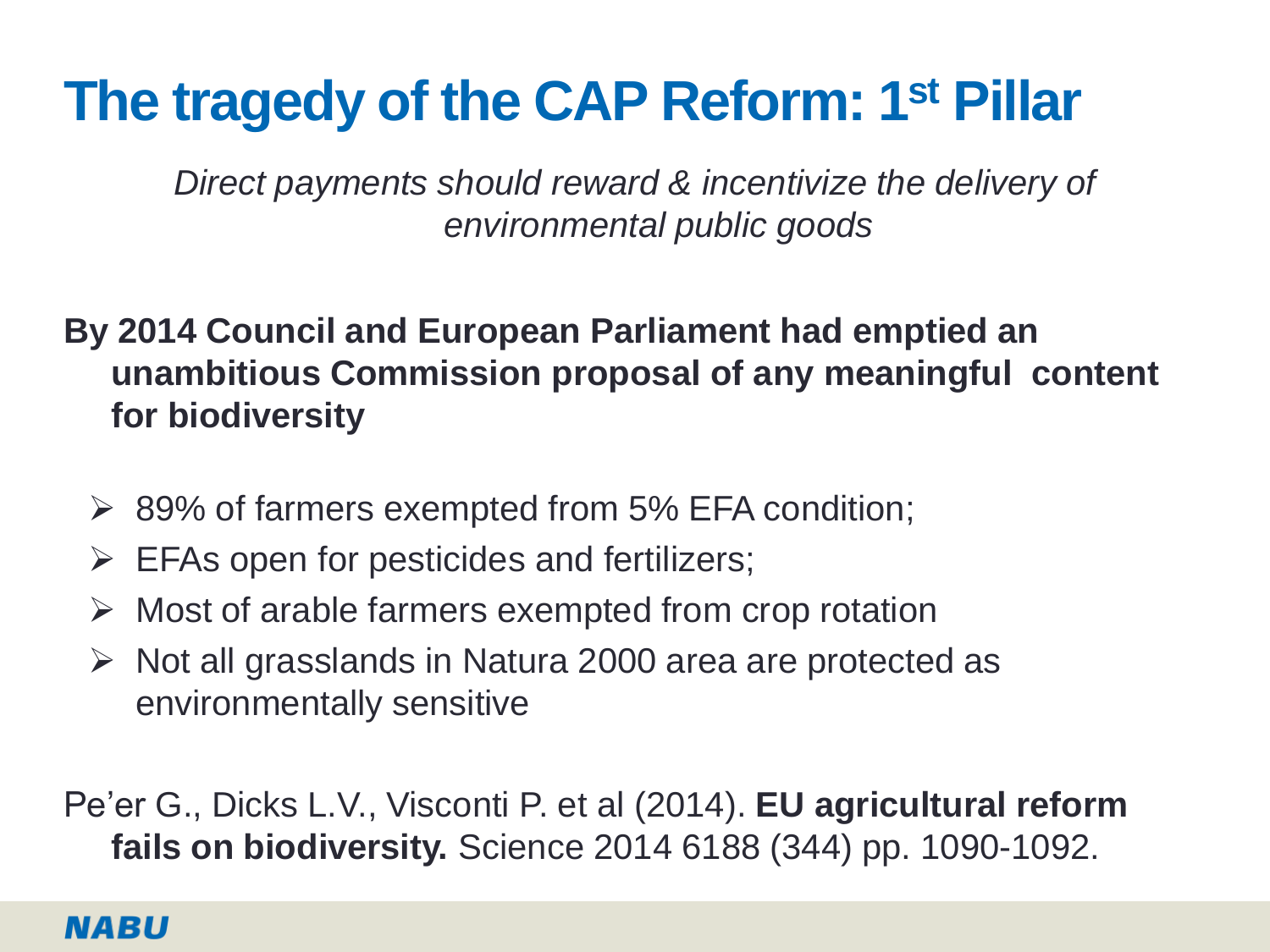## **The tragedy of the CAP Reform: 1st Pillar**

*Direct payments should reward & incentivize the delivery of environmental public goods*

### **By 2014 Council and European Parliament had emptied an unambitious Commission proposal of any meaningful content for biodiversity**

- $\geq$  89% of farmers exempted from 5% EFA condition;
- $\triangleright$  EFAs open for pesticides and fertilizers;
- $\triangleright$  Most of arable farmers exempted from crop rotation
- $\triangleright$  Not all grasslands in Natura 2000 area are protected as environmentally sensitive

Pe'er G., Dicks L.V., Visconti P. et al (2014). **EU agricultural reform fails on biodiversity.** Science 2014 6188 (344) pp. 1090-1092.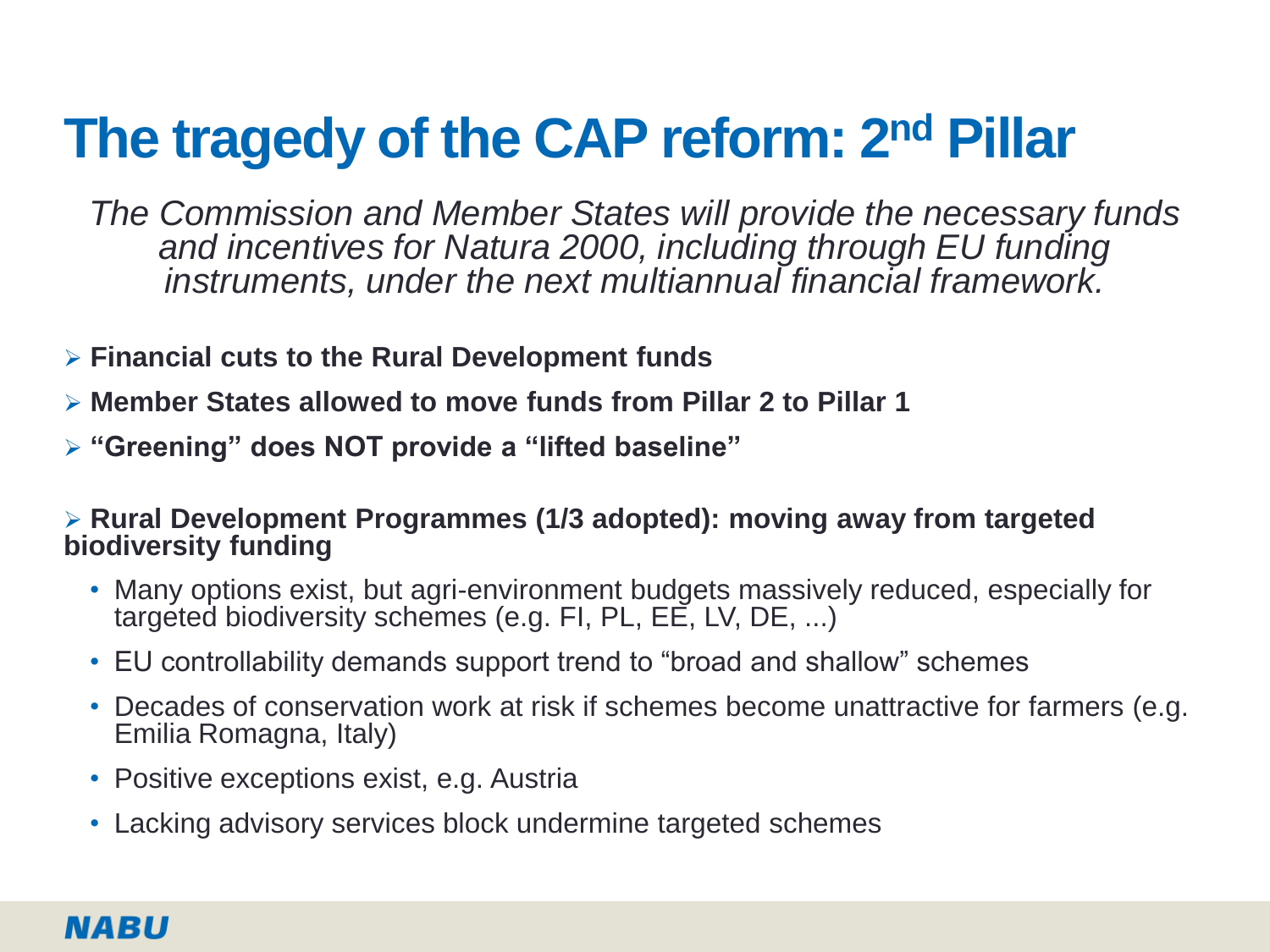# **The tragedy of the CAP reform: 2nd Pillar**

*The Commission and Member States will provide the necessary funds and incentives for Natura 2000, including through EU funding instruments, under the next multiannual financial framework.* 

- **Financial cuts to the Rural Development funds**
- **Member States allowed to move funds from Pillar 2 to Pillar 1**
- **"Greening" does NOT provide a "lifted baseline"**

 **Rural Development Programmes (1/3 adopted): moving away from targeted biodiversity funding**

- Many options exist, but agri-environment budgets massively reduced, especially for targeted biodiversity schemes (e.g. FI, PL, EE, LV, DE, ...)
- EU controllability demands support trend to "broad and shallow" schemes
- Decades of conservation work at risk if schemes become unattractive for farmers (e.g. Emilia Romagna, Italy)
- Positive exceptions exist, e.g. Austria
- Lacking advisory services block undermine targeted schemes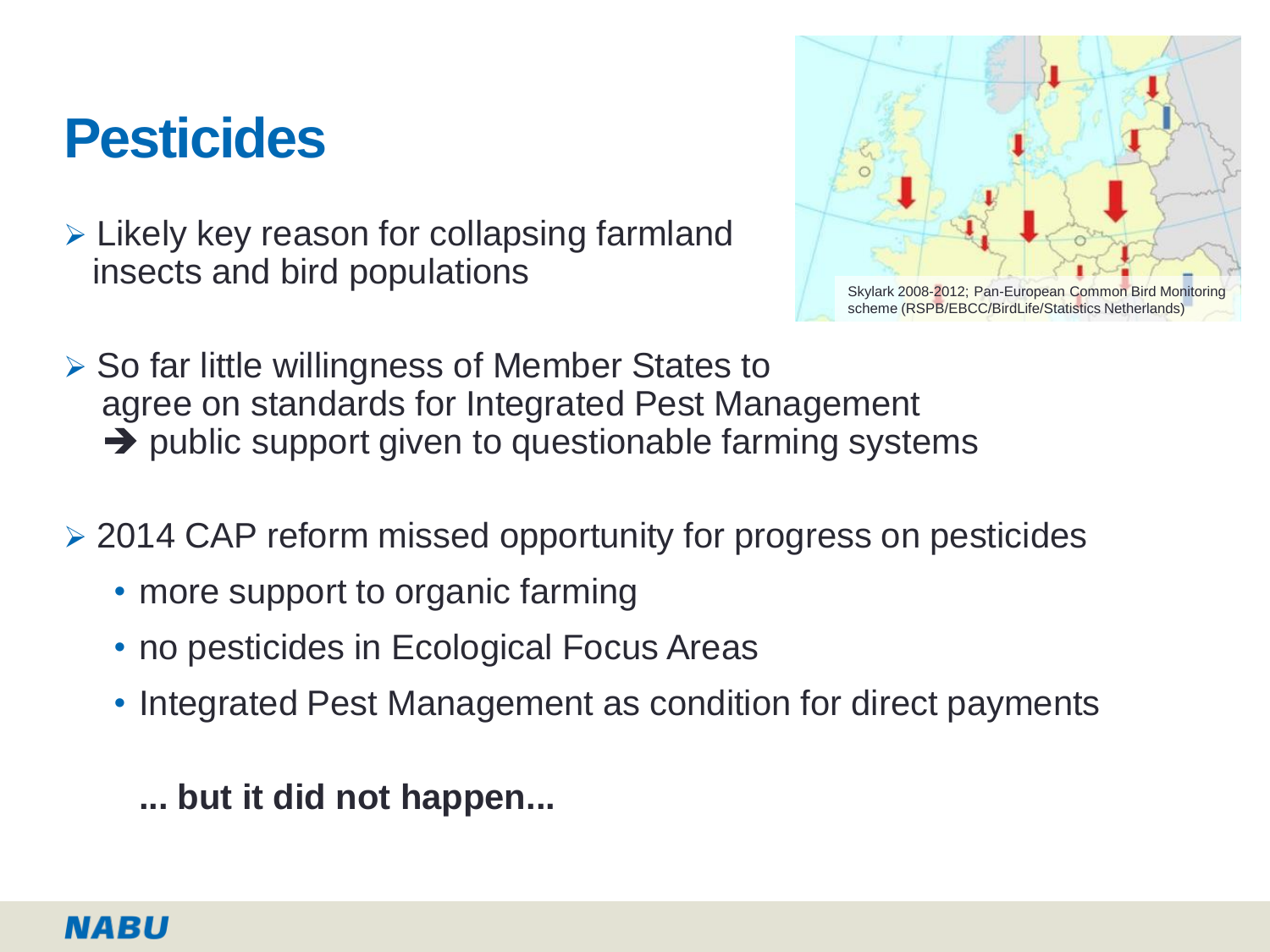## **Pesticides**

 $\triangleright$  Likely key reason for collapsing farmland insects and bird populations



- $\triangleright$  So far little willingness of Member States to agree on standards for Integrated Pest Management  $\rightarrow$  public support given to questionable farming systems
- ▶ 2014 CAP reform missed opportunity for progress on pesticides
	- more support to organic farming
	- no pesticides in Ecological Focus Areas
	- Integrated Pest Management as condition for direct payments

**... but it did not happen...**

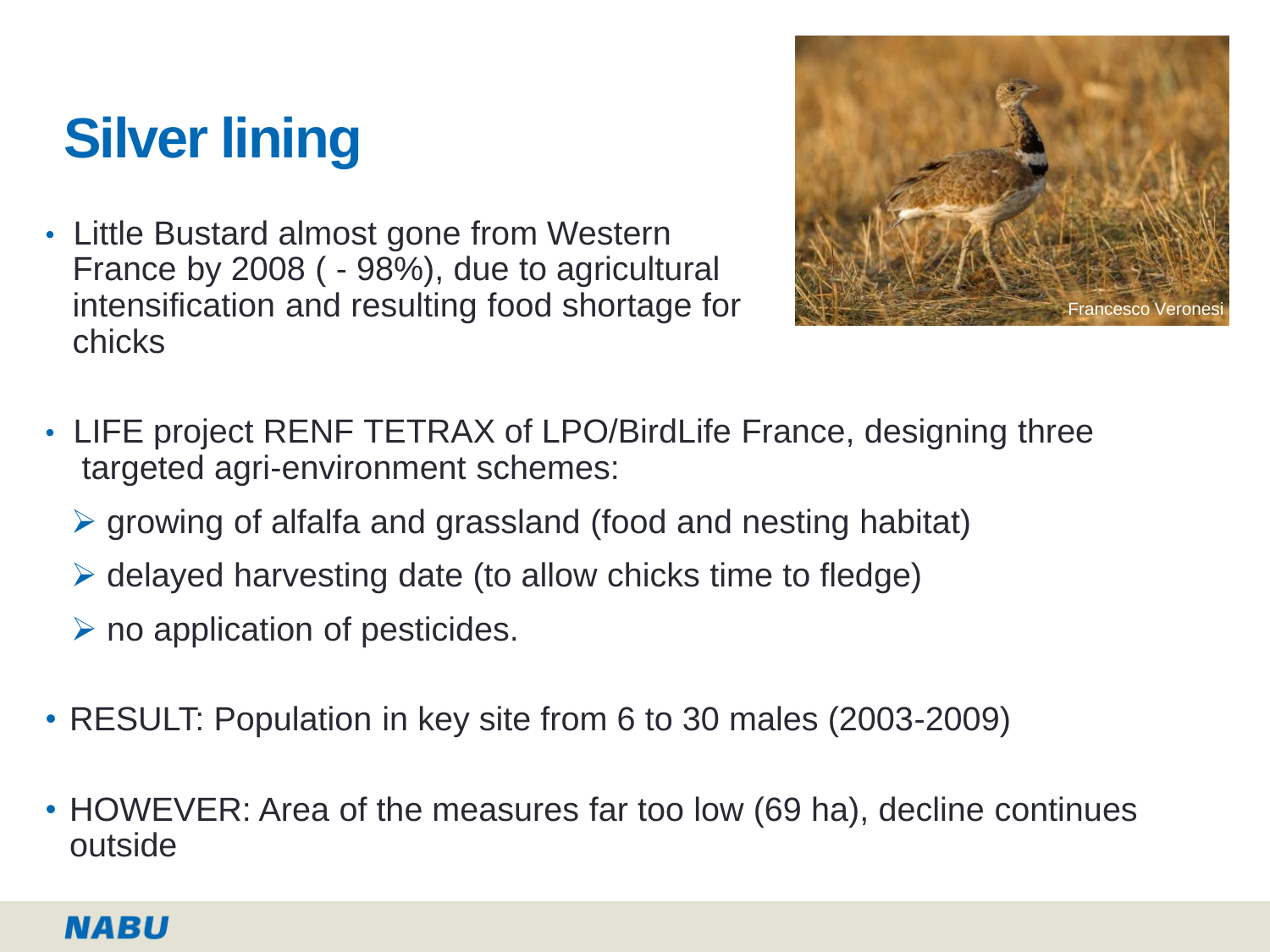# **Silver lining**

• Little Bustard almost gone from Western France by 2008 ( - 98%), due to agricultural intensification and resulting food shortage for chicks



- LIFE project RENF TETRAX of LPO/BirdLife France, designing three targeted agri-environment schemes:
	- $\triangleright$  growing of alfalfa and grassland (food and nesting habitat)
	- $\triangleright$  delayed harvesting date (to allow chicks time to fledge)
	- $\triangleright$  no application of pesticides.
- RESULT: Population in key site from 6 to 30 males (2003-2009)
- HOWEVER: Area of the measures far too low (69 ha), decline continues outside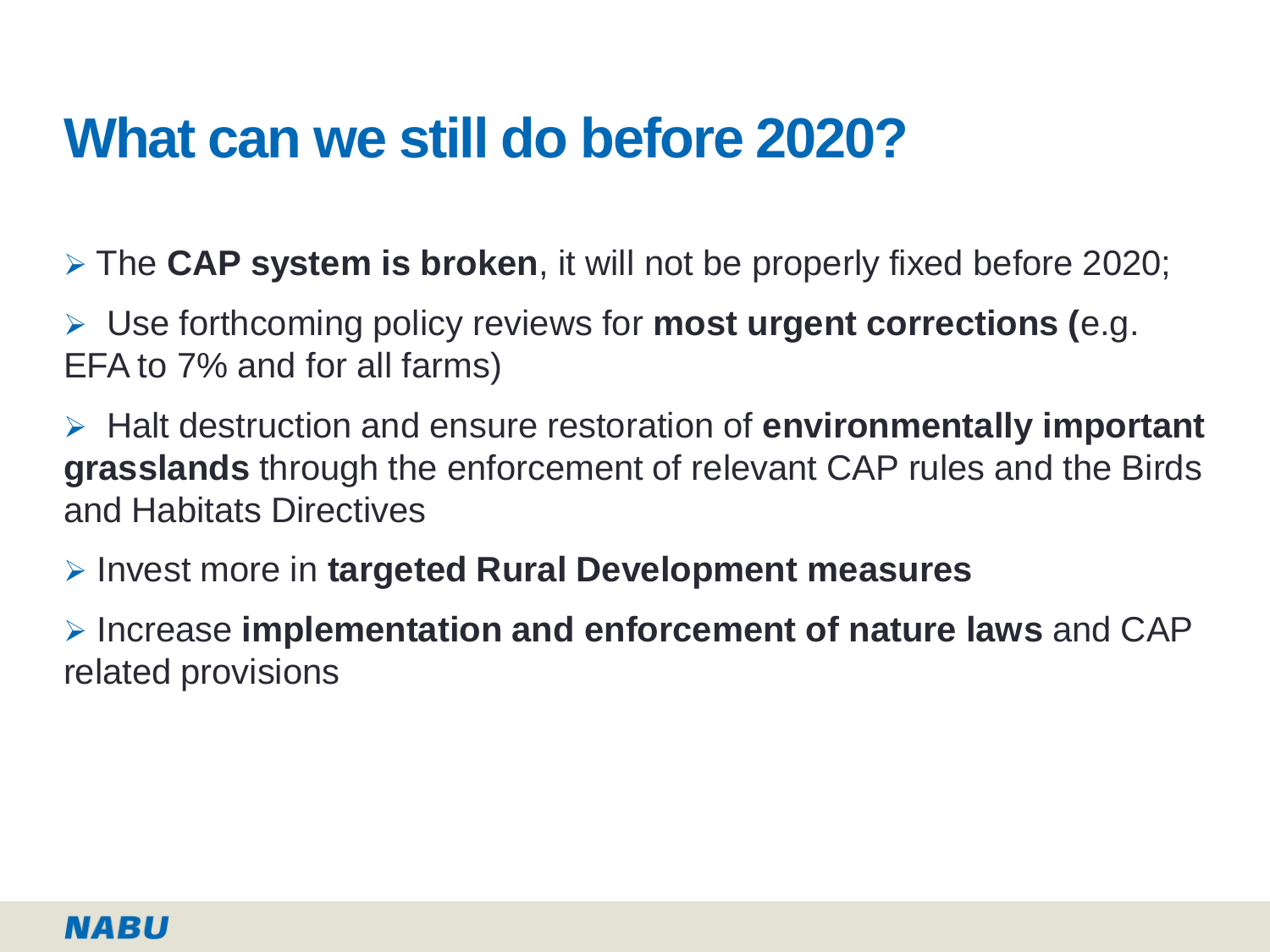## **What can we still do before 2020?**

The **CAP system is broken**, it will not be properly fixed before 2020;

 Use forthcoming policy reviews for **most urgent corrections (**e.g. EFA to 7% and for all farms)

 Halt destruction and ensure restoration of **environmentally important grasslands** through the enforcement of relevant CAP rules and the Birds and Habitats Directives

Invest more in **targeted Rural Development measures**

 Increase **implementation and enforcement of nature laws** and CAP related provisions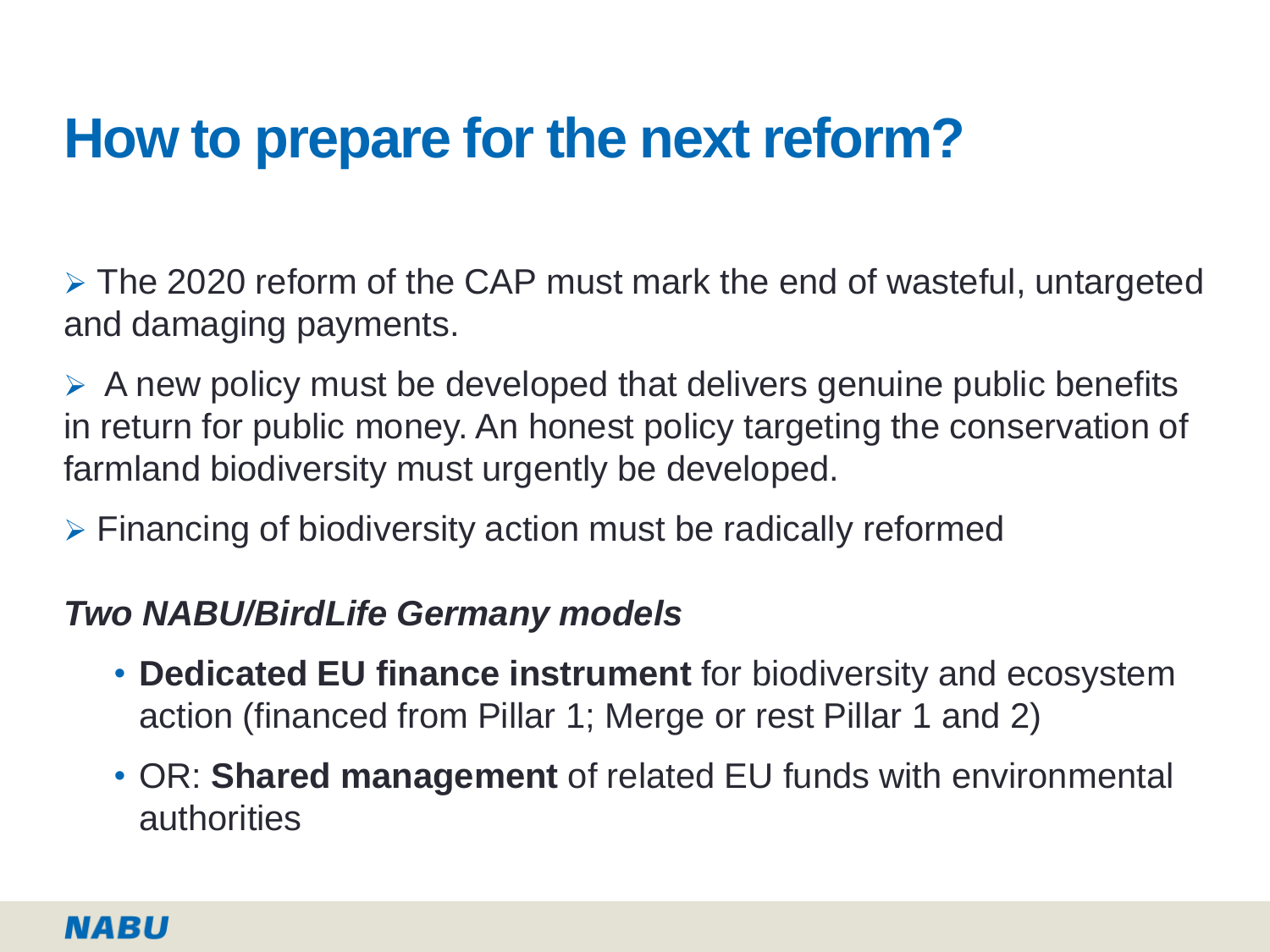## **How to prepare for the next reform?**

 $\triangleright$  The 2020 reform of the CAP must mark the end of wasteful, untargeted and damaging payments.

 $\triangleright$  A new policy must be developed that delivers genuine public benefits in return for public money. An honest policy targeting the conservation of farmland biodiversity must urgently be developed.

Financing of biodiversity action must be radically reformed

### *Two NABU/BirdLife Germany models*

- **Dedicated EU finance instrument** for biodiversity and ecosystem action (financed from Pillar 1; Merge or rest Pillar 1 and 2)
- OR: **Shared management** of related EU funds with environmental authorities